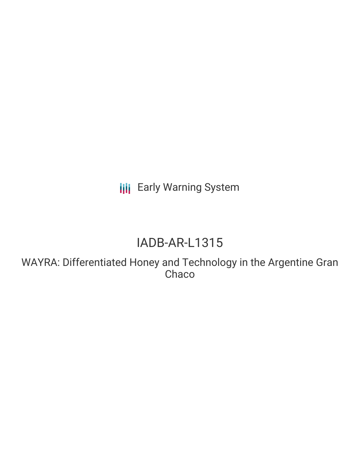**III** Early Warning System

# IADB-AR-L1315

WAYRA: Differentiated Honey and Technology in the Argentine Gran **Chaco**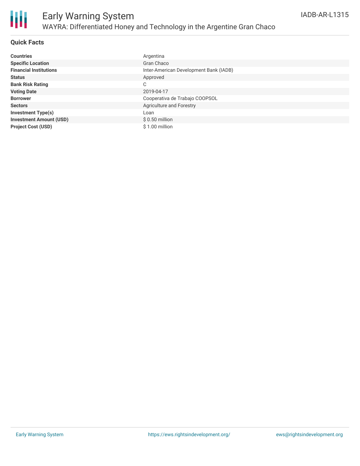

#### **Quick Facts**

| <b>Countries</b>               | Argentina                              |
|--------------------------------|----------------------------------------|
| <b>Specific Location</b>       | Gran Chaco                             |
| <b>Financial Institutions</b>  | Inter-American Development Bank (IADB) |
| <b>Status</b>                  | Approved                               |
| <b>Bank Risk Rating</b>        | C                                      |
| <b>Voting Date</b>             | 2019-04-17                             |
| <b>Borrower</b>                | Cooperativa de Trabajo COOPSOL         |
| <b>Sectors</b>                 | Agriculture and Forestry               |
| <b>Investment Type(s)</b>      | Loan                                   |
| <b>Investment Amount (USD)</b> | $$0.50$ million                        |
| <b>Project Cost (USD)</b>      | \$1.00 million                         |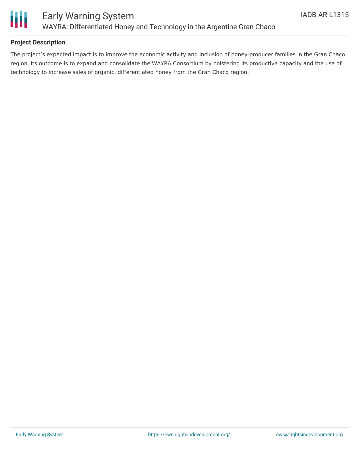

#### **Project Description**

The project's expected impact is to improve the economic activity and inclusion of honey-producer families in the Gran Chaco region. Its outcome is to expand and consolidate the WAYRA Consortium by bolstering its productive capacity and the use of technology to increase sales of organic, differentiated honey from the Gran Chaco region.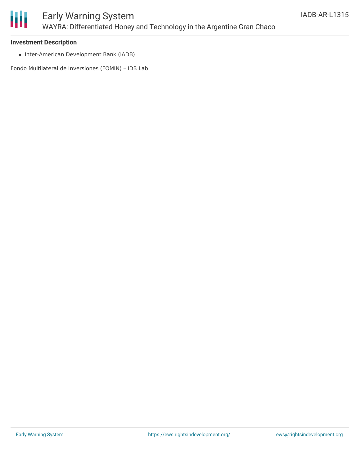

### Early Warning System WAYRA: Differentiated Honey and Technology in the Argentine Gran Chaco

#### **Investment Description**

• Inter-American Development Bank (IADB)

Fondo Multilateral de Inversiones (FOMIN) – IDB Lab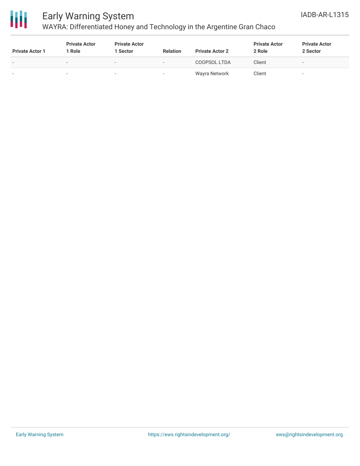

## Early Warning System

## WAYRA: Differentiated Honey and Technology in the Argentine Gran Chaco

| <b>Private Actor 1</b>   | <b>Private Actor</b><br>Role | <b>Private Actor</b><br>1 Sector | <b>Relation</b> | <b>Private Actor 2</b> | <b>Private Actor</b><br>2 Role | <b>Private Actor</b><br>2 Sector |
|--------------------------|------------------------------|----------------------------------|-----------------|------------------------|--------------------------------|----------------------------------|
| $\overline{\phantom{0}}$ | $\overline{\phantom{a}}$     | $\overline{\phantom{a}}$         | $\sim$          | COOPSOL LTDA           | Client                         |                                  |
|                          | $\sim$                       |                                  | . .             | Wayra Network          | Client                         |                                  |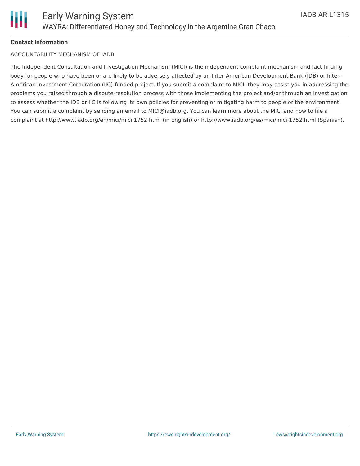

#### **Contact Information**

#### ACCOUNTABILITY MECHANISM OF IADB

The Independent Consultation and Investigation Mechanism (MICI) is the independent complaint mechanism and fact-finding body for people who have been or are likely to be adversely affected by an Inter-American Development Bank (IDB) or Inter-American Investment Corporation (IIC)-funded project. If you submit a complaint to MICI, they may assist you in addressing the problems you raised through a dispute-resolution process with those implementing the project and/or through an investigation to assess whether the IDB or IIC is following its own policies for preventing or mitigating harm to people or the environment. You can submit a complaint by sending an email to MICI@iadb.org. You can learn more about the MICI and how to file a complaint at http://www.iadb.org/en/mici/mici,1752.html (in English) or http://www.iadb.org/es/mici/mici,1752.html (Spanish).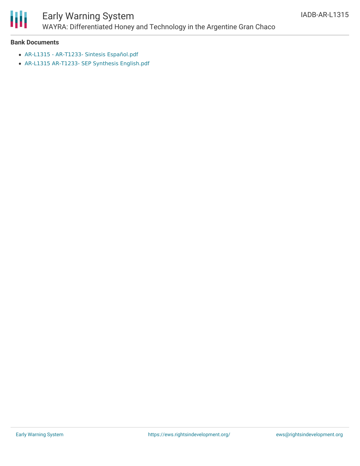

# Early Warning System

WAYRA: Differentiated Honey and Technology in the Argentine Gran Chaco

#### **Bank Documents**

- AR-L1315 AR-T1233- Sintesis [Español.pdf](https://www.iadb.org/Document.cfm?id=EZSHARE-1578516367-5)
- AR-L1315 AR-T1233- SEP Synthesis [English.pdf](https://www.iadb.org/Document.cfm?id=EZSHARE-1578516367-6)